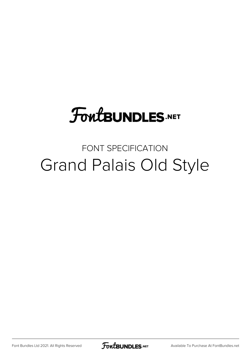## **FoutBUNDLES.NET**

### FONT SPECIFICATION Grand Palais Old Style

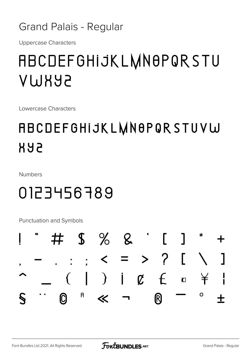#### **Grand Palais - Regular**

**Uppercase Characters** 

### **ABCDEFGHIJKLMNOPQRSTU AMHAS**

Lowercase Characters

### **ABCDEFGHIJKLWN0PQRSTUVW 888**

**Numbers** 

### 0123456789

Punctuation and Symbols

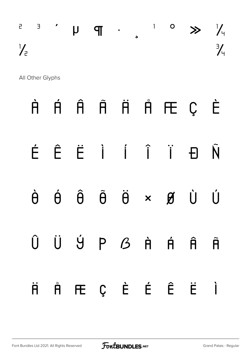|               |  |  |  |  | $\begin{array}{ccccccccccccccccccccc} \Box & \Box & \Box & \Box & \Box & \Box & \Box & \end{array} \hspace{1.5cm} \begin{array}{ccccccccccccccccccccc} \Box & \Box & \Box & \Box & \end{array} \hspace{1.5cm} \begin{array}{ccccccccccccccccccccc} \Box & \Box & \Box & \end{array} \hspace{1.5cm} \begin{array}{ccccccccccccccccccccc} \Box & \Box & \Box & \end{array} \hspace{1.5cm} \begin{array}{ccccccccccccccccccccc} \Box & \Box & \Box & \end{array} \end{array} \hspace{1.5cm} \begin{array}{ccccccccccccccccccccc} \Box & \Box & \Box & \end{array$ |               |
|---------------|--|--|--|--|----------------------------------------------------------------------------------------------------------------------------------------------------------------------------------------------------------------------------------------------------------------------------------------------------------------------------------------------------------------------------------------------------------------------------------------------------------------------------------------------------------------------------------------------------------------|---------------|
| $\frac{1}{2}$ |  |  |  |  |                                                                                                                                                                                                                                                                                                                                                                                                                                                                                                                                                                | $\frac{3}{4}$ |

All Other Glyphs

# À Á Â Ã Ä Å Æ Ç È É Ê Ë Ì Í Î Ï Ð Ñ Ò Ó Ô Õ Ö × Ø Ù Ú  $\hat{U}$   $\dot{U}$   $\dot{Y}$   $P$   $B$   $\dot{R}$   $\dot{R}$   $\hat{R}$ ä å æ ç è é ê ë ì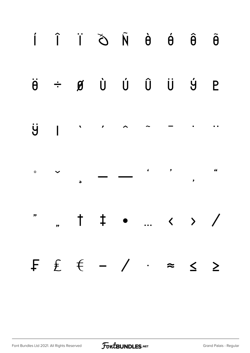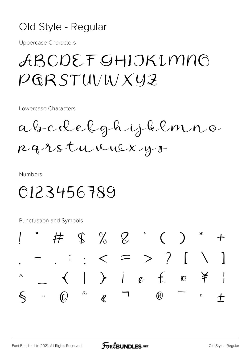#### Old Style - Regular

**Uppercase Characters** 

### ABCDEFGHIJKIMNO  $PGRSTUVWXYZ$

Lowercase Characters

abcdelghijklmno Rarstuvuexyz

**Numbers** 

### 0123456789

Punctuation and Symbols

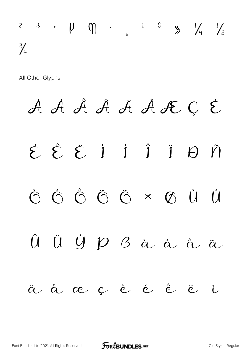### $2$  3  $\cdot$   $\mu$   $\theta$   $\cdot$   $\cdot$   $\cdot$   $\frac{1}{2}$   $\theta$   $\frac{1}{4}$   $\frac{1}{2}$  $\frac{3}{4}$

All Other Glyphs

# À Á Â Ã Ä Å Æ Ç È É Ê Ë Ì Í Î Ï Ð Ñ Ò Ó Ô Õ Ö × Ø Ù Ú Û Ü Ý P B à à â ã ä å æ ç è é ê ë ì